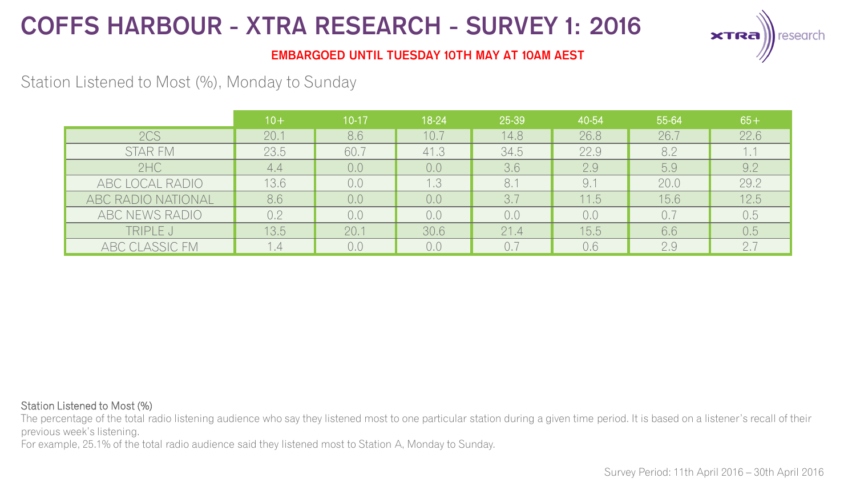

### **EMBARGOED UNTIL TUESDAY 10TH MAY AT 10AM AEST**

## Station Listened to Most (%), Monday to Sunday

|                    | $10+$ | $10-17$ | 18-24 | 25-39 | 40-54 | 55-64 | $65+$ |
|--------------------|-------|---------|-------|-------|-------|-------|-------|
| 2CS                | 20.1  | 8.6     | 10.7  | 14.8  | 26.8  | 26.7  | 22.6  |
| <b>STAR FM</b>     | 23.5  | 60.7    | 41.3  | 34.5  | 22.9  | 8.2   | 1.1   |
| 2HC                | 4.4   | 0,0     | 0,0   | 3.6   | 2.9   | 5.9   | 9.2   |
| ABC LOCAL RADIO    | 13.6  | 0.0     | 1.3   | 8.1   | 9.7   | 20.0  | 29.2  |
| ABC RADIO NATIONAL | 8.6   | 0,0     | 0.0   | 3.7   | 11.5  | 15.6  | 12.5  |
| ABC NEWS RADIO     | 0.2   | 0.0     | 0,0   | 0.0   | 0,0   | 0.7   | 0.5   |
| TRIPLE J           | 13.5  | 20.1    | 30.6  | 21.4  | 15.5  | 6.6   | 0.5   |
| ABC CLASSIC FM     |       | 0.0     | 0.0   | 0.7   | 0.6   | 2.9   | 2.7   |

#### Station Listened to Most (%)

The percentage of the total radio listening audience who say they listened most to one particular station during a given time period. It is based on a listener's recall of their previous week's listening.

For example, 25.1% of the total radio audience said they listened most to Station A, Monday to Sunday.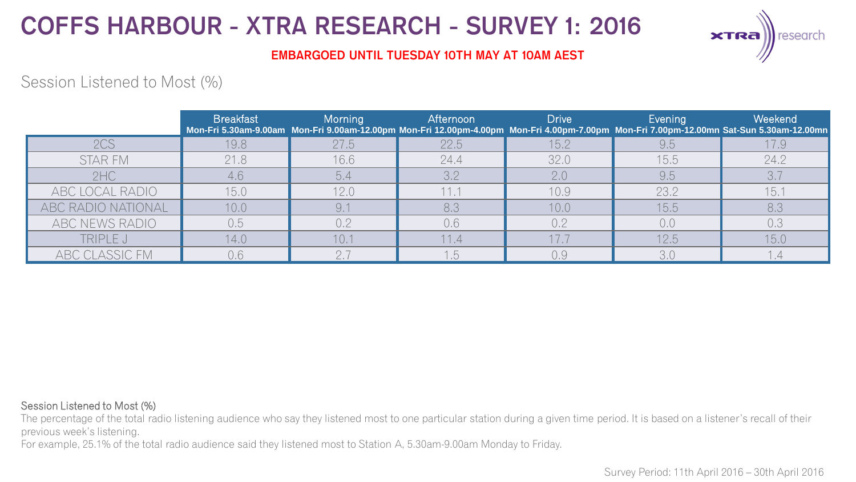

### **EMBARGOED UNTIL TUESDAY 10TH MAY AT 10AM AEST**

## Session Listened to Most (%)

|                    | <b>Breakfast</b> | Morning | <b>Afternoon</b> | Drive | Evening | Weekend<br>Mon-Fri 5.30am-9.00am Mon-Fri 9.00am-12.00pm Mon-Fri 12.00pm-4.00pm Mon-Fri 4.00pm-7.00pm Mon-Fri 7.00pm-12.00mn Sat-Sun 5.30am-12.00mn |
|--------------------|------------------|---------|------------------|-------|---------|----------------------------------------------------------------------------------------------------------------------------------------------------|
| 2CS                | 19.8             | 27.5    | 22.5             | 15.2  | 9.5     | 17.9                                                                                                                                               |
| STAR FM            | 21.8             | 16.6    | 24.4             | 32.0  | 15.5    | 24.2                                                                                                                                               |
| 2HC                | 4,6              | 5.4     | 3.2              | 2.0   | 9.5     | 3.7                                                                                                                                                |
| ABC LOCAL RADIO    | 15.0             | 12.0    | 11.1             | 10.9  | 23.2    | 15.1                                                                                                                                               |
| ABC RADIO NATIONAL | 10.0             |         | 8,3              | 10,0  | 15.5    | 8.3                                                                                                                                                |
| ABC NEWS RADIO     | 0.5              | 0.2     | 0,6              | 0.2   | 0,0     | 0.3                                                                                                                                                |
| TRIPLE J           | 14.0             | 10.7    | 11.4             |       | 12.5    | 15.0                                                                                                                                               |
| ABC CLASSIC FM     | 0.6              |         | 1.5.             | 0.9   | 3.0     |                                                                                                                                                    |

#### Session Listened to Most (%)

The percentage of the total radio listening audience who say they listened most to one particular station during a given time period. It is based on a listener's recall of their previous week's listening.

For example, 25.1% of the total radio audience said they listened most to Station A, 5.30am-9.00am Monday to Friday.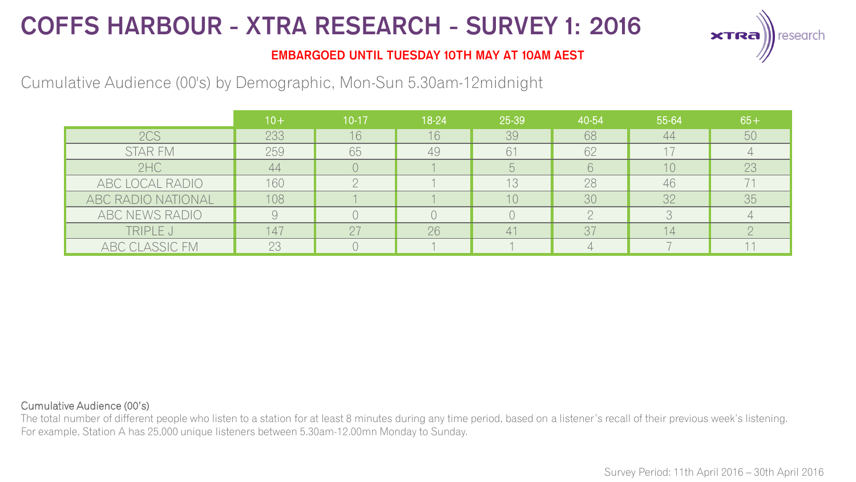

### **EMBARGOED UNTIL TUESDAY 10TH MAY AT 10AM AEST**

Cumulative Audience (00's) by Demographic, Mon-Sun 5.30am-12midnight

|                    | $10+$ | $10-17$ | 18-24 | 25-39 | 40-54 | 55-64 | $65+$ |
|--------------------|-------|---------|-------|-------|-------|-------|-------|
| 2CS                | 233   | 16      | 16    | 39    | 68    | 44    | 50    |
| <b>STAR FM</b>     | 259   | 65      | 49    | 61    | 62    |       |       |
| 2HC                | 44    |         |       |       |       | 10    | 23    |
| ABC LOCAL RADIO    | 160   |         |       | 13    | 28    | 46    |       |
| ABC RADIO NATIONAL | 108   |         |       | 10    | 30    | 32    | 35    |
| ABC NEWS RADIO     |       |         |       |       |       |       |       |
| TRIPLE J           | 147   |         | 26    |       | 37    | 4     |       |
| ABC CLASSIC FM     | 23    |         |       |       |       |       |       |

#### Cumulative Audience (00's)

The total number of different people who listen to a station for at least 8 minutes during any time period, based on a listener's recall of their previous week's listening. For example, Station A has 25,000 unique listeners between 5.30am-12.00mn Monday to Sunday.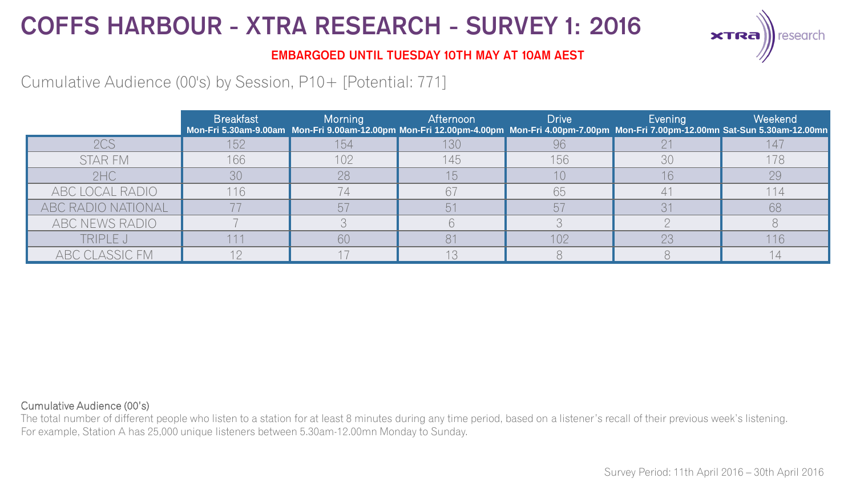

### **EMBARGOED UNTIL TUESDAY 10TH MAY AT 10AM AEST**

## Cumulative Audience (00's) by Session, P10+ [Potential: 771]

|                    | <b>Breakfast</b> | Morning | Afternoon | <b>Drive</b> | Evening | Weekend<br>Mon-Fri 5.30am-9.00am Mon-Fri 9.00am-12.00pm Mon-Fri 12.00pm-4.00pm Mon-Fri 4.00pm-7.00pm Mon-Fri 7.00pm-12.00mn Sat-Sun 5.30am-12.00mn |
|--------------------|------------------|---------|-----------|--------------|---------|----------------------------------------------------------------------------------------------------------------------------------------------------|
| 2CS                | 152              | 154     | 130       | 96           |         |                                                                                                                                                    |
| STAR FM            | 166              | 102     | 145       | 156          | 30      | 178                                                                                                                                                |
| 2HC                | 30               | 28      |           |              | 16      | 29                                                                                                                                                 |
| ABC LOCAL RADIO    | 116              |         |           | 65           |         | 114                                                                                                                                                |
| ABC RADIO NATIONAL |                  |         |           |              |         | 68                                                                                                                                                 |
| ABC NEWS RADIO     |                  |         |           |              |         |                                                                                                                                                    |
| TRIPLE J           |                  | 60      |           | 102          | 23      | 116                                                                                                                                                |
| ABC CLASSIC FM     |                  |         |           |              |         |                                                                                                                                                    |

#### Cumulative Audience (00's)

The total number of different people who listen to a station for at least 8 minutes during any time period, based on a listener's recall of their previous week's listening. For example, Station A has 25,000 unique listeners between 5.30am-12.00mn Monday to Sunday.